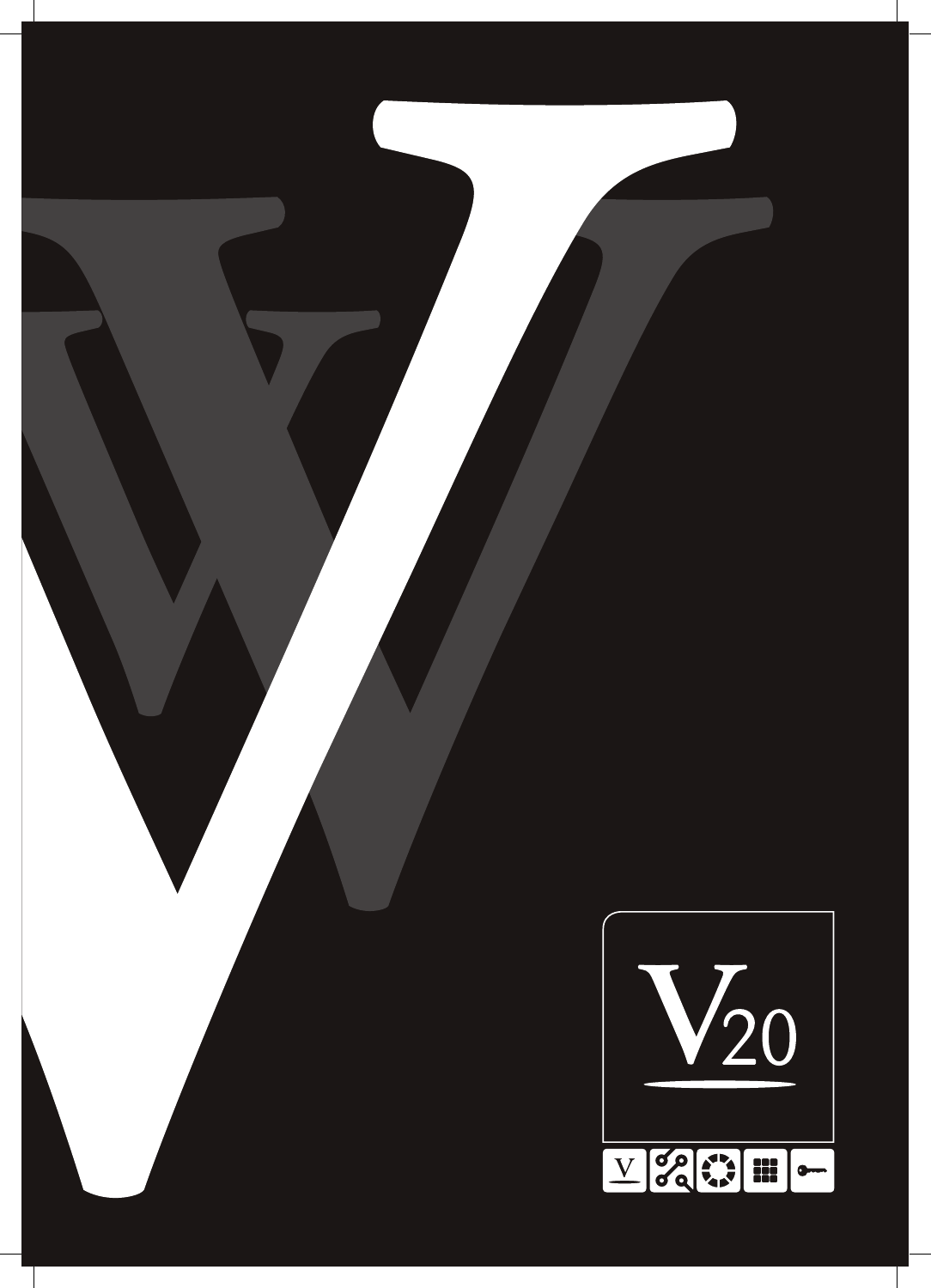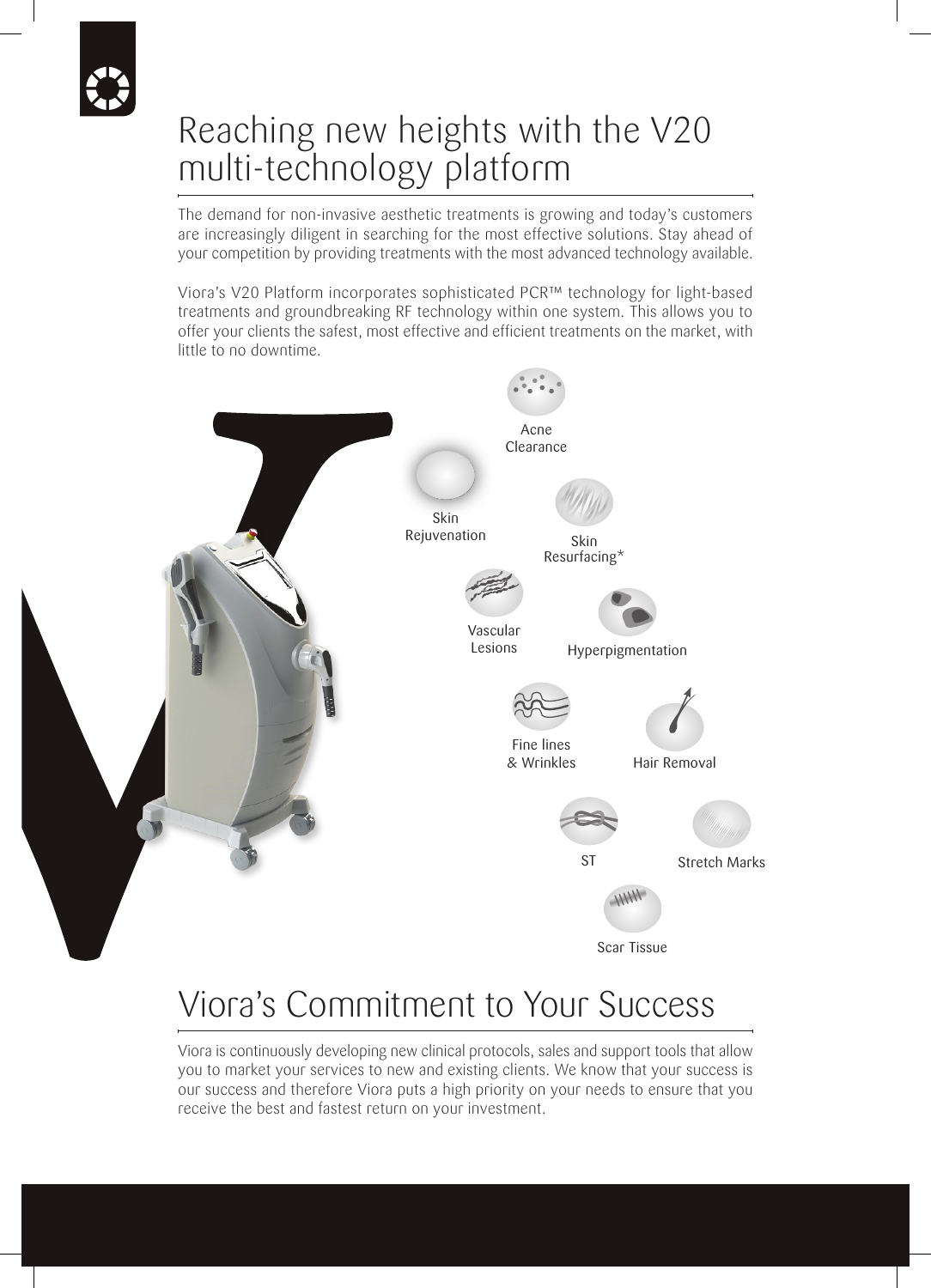## Reaching new heights with the V20 multi-technology platform

The demand for non-invasive aesthetic treatments is growing and today's customers are increasingly diligent in searching for the most effective solutions. Stay ahead of your competition by providing treatments with the most advanced technology available.

Viora's V20 Platform incorporates sophisticated PCR™ technology for light-based treatments and groundbreaking RF technology within one system. This allows you to offer your clients the safest, most effective and efficient treatments on the market, with little to no downtime.



## Viora's Commitment to Your Success

Viora is continuously developing new clinical protocols, sales and support tools that allow you to market your services to new and existing clients. We know that your success is our success and therefore Viora puts a high priority on your needs to ensure that you receive the best and fastest return on your investment.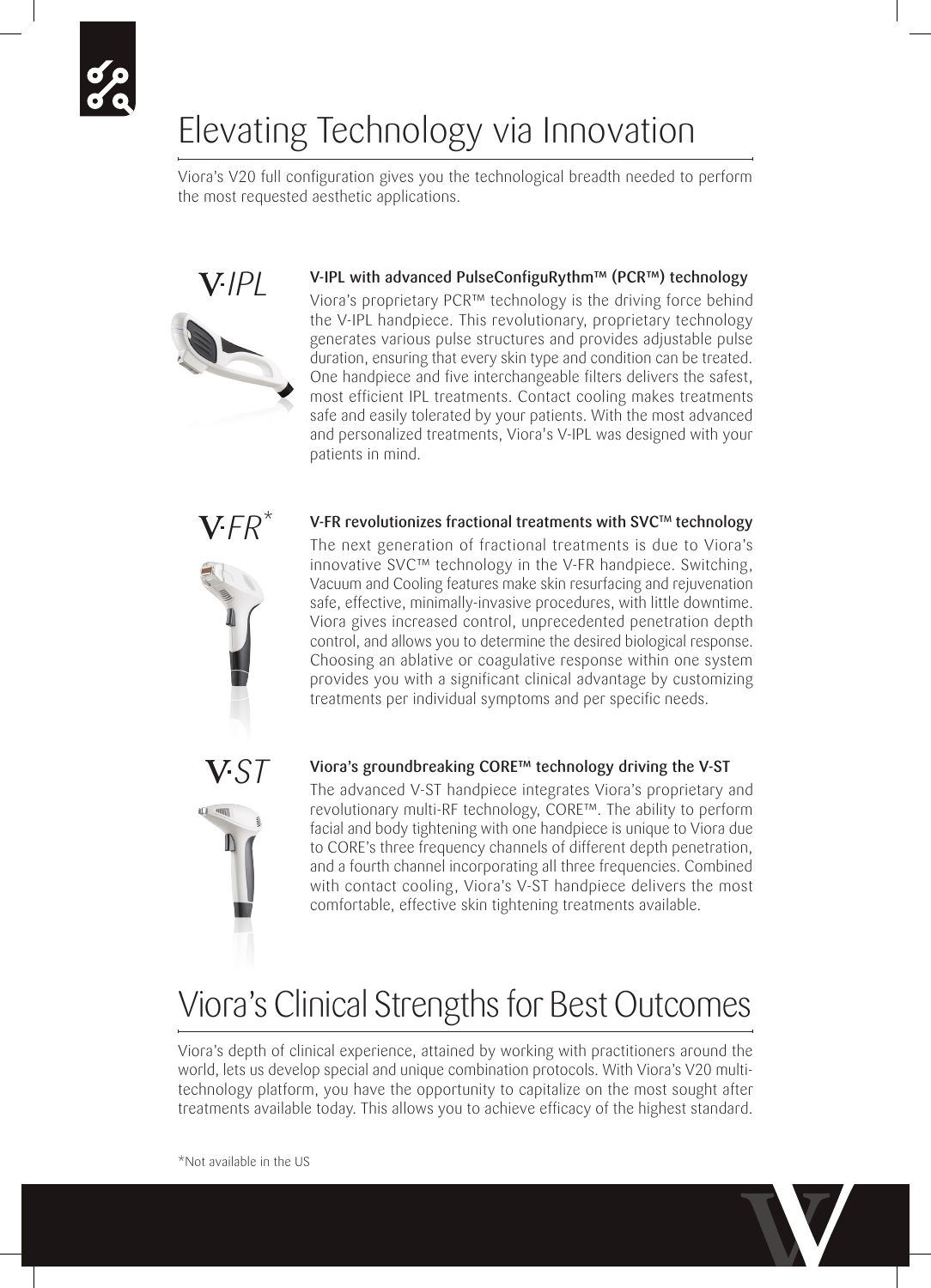# Elevating Technology via Innovation

Viora's V20 full configuration gives you the technological breadth needed to perform the most requested aesthetic applications.



Viora's proprietary PCR™ technology is the driving force behind the V-IPL handpiece. This revolutionary, proprietary technology generates various pulse structures and provides adjustable pulse duration, ensuring that every skin type and condition can be treated. One handpiece and five interchangeable filters delivers the safest, most efficient IPL treatments. Contact cooling makes treatments safe and easily tolerated by your patients. With the most advanced and personalized treatments, Viora's V-IPL was designed with your patients in mind.



*IPL*

V-FR revolutionizes fractional treatments with SVC™ technology The next generation of fractional treatments is due to Viora's innovative SVC™ technology in the V-FR handpiece. Switching, Vacuum and Cooling features make skin resurfacing and rejuvenation safe, effective, minimally-invasive procedures, with little downtime. Viora gives increased control, unprecedented penetration depth control, and allows you to determine the desired biological response. Choosing an ablative or coagulative response within one system provides you with a significant clinical advantage by customizing treatments per individual symptoms and per specific needs.



#### Viora's groundbreaking CORE™ technology driving the V-ST

The advanced V-ST handpiece integrates Viora's proprietary and revolutionary multi-RF technology, CORE™. The ability to perform facial and body tightening with one handpiece is unique to Viora due to CORE's three frequency channels of different depth penetration, and a fourth channel incorporating all three frequencies. Combined with contact cooling, Viora's V-ST handpiece delivers the most comfortable, effective skin tightening treatments available.

## Viora's Clinical Strengths for Best Outcomes

Viora's depth of clinical experience, attained by working with practitioners around the world, lets us develop special and unique combination protocols. With Viora's V20 multitechnology platform, you have the opportunity to capitalize on the most sought after treatments available today. This allows you to achieve efficacy of the highest standard.